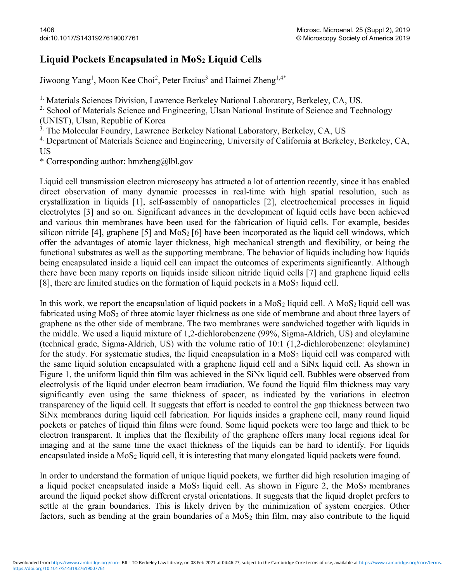## Liquid Pockets Encapsulated in MoS<sub>2</sub> Liquid Cells

Jiwoong Yang<sup>1</sup>, Moon Kee Choi<sup>2</sup>, Peter Ercius<sup>3</sup> and Haimei Zheng<sup>1,4\*</sup>

<sup>1.</sup> Materials Sciences Division, Lawrence Berkeley National Laboratory, Berkeley, CA, US.

<sup>2.</sup> School of Materials Science and Engineering, Ulsan National Institute of Science and Technology (UNIST), Ulsan, Republic of Korea

<sup>3.</sup> The Molecular Foundry, Lawrence Berkeley National Laboratory, Berkeley, CA, US

<sup>4.</sup> Department of Materials Science and Engineering, University of California at Berkeley, Berkeley, CA, US

\* Corresponding author: hmzheng@lbl.gov

Liquid cell transmission electron microscopy has attracted a lot of attention recently, since it has enabled direct observation of many dynamic processes in real-time with high spatial resolution, such as crystallization in liquids [1], self-assembly of nanoparticles [2], electrochemical processes in liquid electrolytes [3] and so on. Significant advances in the development of liquid cells have been achieved and various thin membranes have been used for the fabrication of liquid cells. For example, besides silicon nitride [4], graphene [5] and  $MoS<sub>2</sub>$  [6] have been incorporated as the liquid cell windows, which offer the advantages of atomic layer thickness, high mechanical strength and flexibility, or being the functional substrates as well as the supporting membrane. The behavior of liquids including how liquids being encapsulated inside a liquid cell can impact the outcomes of experiments significantly. Although there have been many reports on liquids inside silicon nitride liquid cells [7] and graphene liquid cells [8], there are limited studies on the formation of liquid pockets in a  $M_0S_2$  liquid cell.

In this work, we report the encapsulation of liquid pockets in a  $MoS<sub>2</sub>$  liquid cell. A MoS<sub>2</sub> liquid cell was fabricated using MoS<sub>2</sub> of three atomic layer thickness as one side of membrane and about three layers of graphene as the other side of membrane. The two membranes were sandwiched together with liquids in the middle. We used a liquid mixture of 1,2-dichlorobenzene (99%, Sigma-Aldrich, US) and oleylamine (technical grade, Sigma-Aldrich, US) with the volume ratio of 10:1 (1,2-dichlorobenzene: oleylamine) for the study. For systematic studies, the liquid encapsulation in a  $MoS<sub>2</sub>$  liquid cell was compared with the same liquid solution encapsulated with a graphene liquid cell and a SiNx liquid cell. As shown in Figure 1, the uniform liquid thin film was achieved in the SiNx liquid cell. Bubbles were observed from electrolysis of the liquid under electron beam irradiation. We found the liquid film thickness may vary significantly even using the same thickness of spacer, as indicated by the variations in electron transparency of the liquid cell. It suggests that effort is needed to control the gap thickness between two SiNx membranes during liquid cell fabrication. For liquids insides a graphene cell, many round liquid pockets or patches of liquid thin films were found. Some liquid pockets were too large and thick to be electron transparent. It implies that the flexibility of the graphene offers many local regions ideal for imaging and at the same time the exact thickness of the liquids can be hard to identify. For liquids encapsulated inside a MoS<sub>2</sub> liquid cell, it is interesting that many elongated liquid packets were found.

In order to understand the formation of unique liquid pockets, we further did high resolution imaging of a liquid pocket encapsulated inside a  $M_0S_2$  liquid cell. As shown in Figure 2, the  $M_0S_2$  membranes around the liquid pocket show different crystal orientations. It suggests that the liquid droplet prefers to settle at the grain boundaries. This is likely driven by the minimization of system energies. Other factors, such as bending at the grain boundaries of a  $MoS<sub>2</sub>$  thin film, may also contribute to the liquid